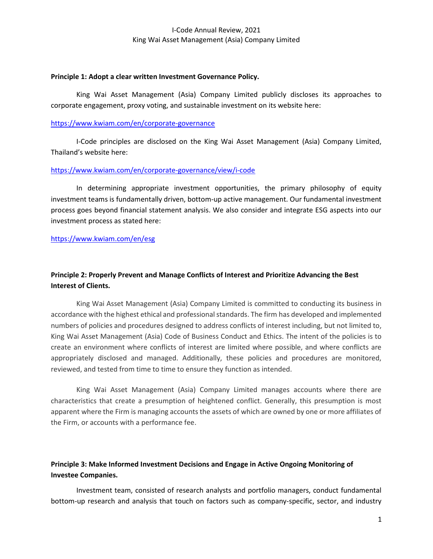#### Principle 1: Adopt a clear written Investment Governance Policy.

King Wai Asset Management (Asia) Company Limited publicly discloses its approaches to corporate engagement, proxy voting, and sustainable investment on its website here:

## https://www.kwiam.com/en/corporate-governance

I-Code principles are disclosed on the King Wai Asset Management (Asia) Company Limited, Thailand's website here:

## https://www.kwiam.com/en/corporate-governance/view/i-code

In determining appropriate investment opportunities, the primary philosophy of equity investment teams is fundamentally driven, bottom-up active management. Our fundamental investment process goes beyond financial statement analysis. We also consider and integrate ESG aspects into our investment process as stated here:

## https://www.kwiam.com/en/esg

# Principle 2: Properly Prevent and Manage Conflicts of Interest and Prioritize Advancing the Best Interest of Clients.

King Wai Asset Management (Asia) Company Limited is committed to conducting its business in accordance with the highest ethical and professional standards. The firm has developed and implemented numbers of policies and procedures designed to address conflicts of interest including, but not limited to, King Wai Asset Management (Asia) Code of Business Conduct and Ethics. The intent of the policies is to create an environment where conflicts of interest are limited where possible, and where conflicts are appropriately disclosed and managed. Additionally, these policies and procedures are monitored, reviewed, and tested from time to time to ensure they function as intended.

King Wai Asset Management (Asia) Company Limited manages accounts where there are characteristics that create a presumption of heightened conflict. Generally, this presumption is most apparent where the Firm is managing accounts the assets of which are owned by one or more affiliates of the Firm, or accounts with a performance fee.

# Principle 3: Make Informed Investment Decisions and Engage in Active Ongoing Monitoring of Investee Companies.

 Investment team, consisted of research analysts and portfolio managers, conduct fundamental bottom-up research and analysis that touch on factors such as company-specific, sector, and industry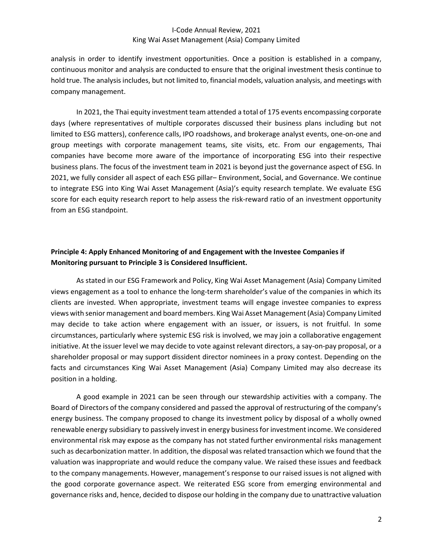analysis in order to identify investment opportunities. Once a position is established in a company, continuous monitor and analysis are conducted to ensure that the original investment thesis continue to hold true. The analysis includes, but not limited to, financial models, valuation analysis, and meetings with company management.

In 2021, the Thai equity investment team attended a total of 175 events encompassing corporate days (where representatives of multiple corporates discussed their business plans including but not limited to ESG matters), conference calls, IPO roadshows, and brokerage analyst events, one-on-one and group meetings with corporate management teams, site visits, etc. From our engagements, Thai companies have become more aware of the importance of incorporating ESG into their respective business plans. The focus of the investment team in 2021 is beyond just the governance aspect of ESG. In 2021, we fully consider all aspect of each ESG pillar– Environment, Social, and Governance. We continue to integrate ESG into King Wai Asset Management (Asia)'s equity research template. We evaluate ESG score for each equity research report to help assess the risk-reward ratio of an investment opportunity from an ESG standpoint.

# Principle 4: Apply Enhanced Monitoring of and Engagement with the Investee Companies if Monitoring pursuant to Principle 3 is Considered Insufficient.

As stated in our ESG Framework and Policy, King Wai Asset Management (Asia) Company Limited views engagement as a tool to enhance the long-term shareholder's value of the companies in which its clients are invested. When appropriate, investment teams will engage investee companies to express views with senior management and board members. King Wai Asset Management (Asia) Company Limited may decide to take action where engagement with an issuer, or issuers, is not fruitful. In some circumstances, particularly where systemic ESG risk is involved, we may join a collaborative engagement initiative. At the issuer level we may decide to vote against relevant directors, a say-on-pay proposal, or a shareholder proposal or may support dissident director nominees in a proxy contest. Depending on the facts and circumstances King Wai Asset Management (Asia) Company Limited may also decrease its position in a holding.

A good example in 2021 can be seen through our stewardship activities with a company. The Board of Directors of the company considered and passed the approval of restructuring of the company's energy business. The company proposed to change its investment policy by disposal of a wholly owned renewable energy subsidiary to passively invest in energy business for investment income. We considered environmental risk may expose as the company has not stated further environmental risks management such as decarbonization matter. In addition, the disposal was related transaction which we found that the valuation was inappropriate and would reduce the company value. We raised these issues and feedback to the company managements. However, management's response to our raised issues is not aligned with the good corporate governance aspect. We reiterated ESG score from emerging environmental and governance risks and, hence, decided to dispose our holding in the company due to unattractive valuation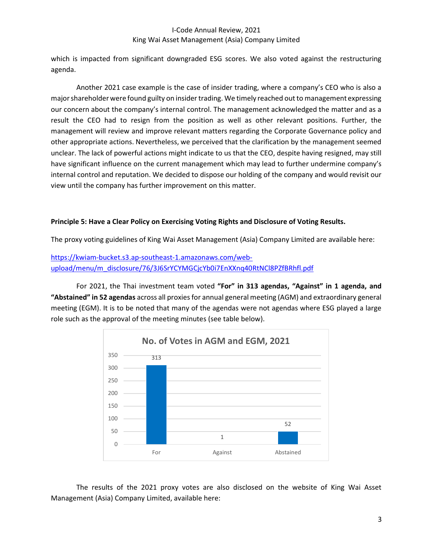which is impacted from significant downgraded ESG scores. We also voted against the restructuring agenda.

Another 2021 case example is the case of insider trading, where a company's CEO who is also a major shareholder were found guilty on insider trading. We timely reached out to management expressing our concern about the company's internal control. The management acknowledged the matter and as a result the CEO had to resign from the position as well as other relevant positions. Further, the management will review and improve relevant matters regarding the Corporate Governance policy and other appropriate actions. Nevertheless, we perceived that the clarification by the management seemed unclear. The lack of powerful actions might indicate to us that the CEO, despite having resigned, may still have significant influence on the current management which may lead to further undermine company's internal control and reputation. We decided to dispose our holding of the company and would revisit our view until the company has further improvement on this matter.

## Principle 5: Have a Clear Policy on Exercising Voting Rights and Disclosure of Voting Results.

The proxy voting guidelines of King Wai Asset Management (Asia) Company Limited are available here:

https://kwiam-bucket.s3.ap-southeast-1.amazonaws.com/webupload/menu/m\_disclosure/76/3J6SrYCYMGCjcYb0i7EnXXnq40RtNCl8PZfBRhfl.pdf

For 2021, the Thai investment team voted "For" in 313 agendas, "Against" in 1 agenda, and "Abstained" in 52 agendas across all proxies for annual general meeting (AGM) and extraordinary general meeting (EGM). It is to be noted that many of the agendas were not agendas where ESG played a large role such as the approval of the meeting minutes (see table below).



The results of the 2021 proxy votes are also disclosed on the website of King Wai Asset Management (Asia) Company Limited, available here: